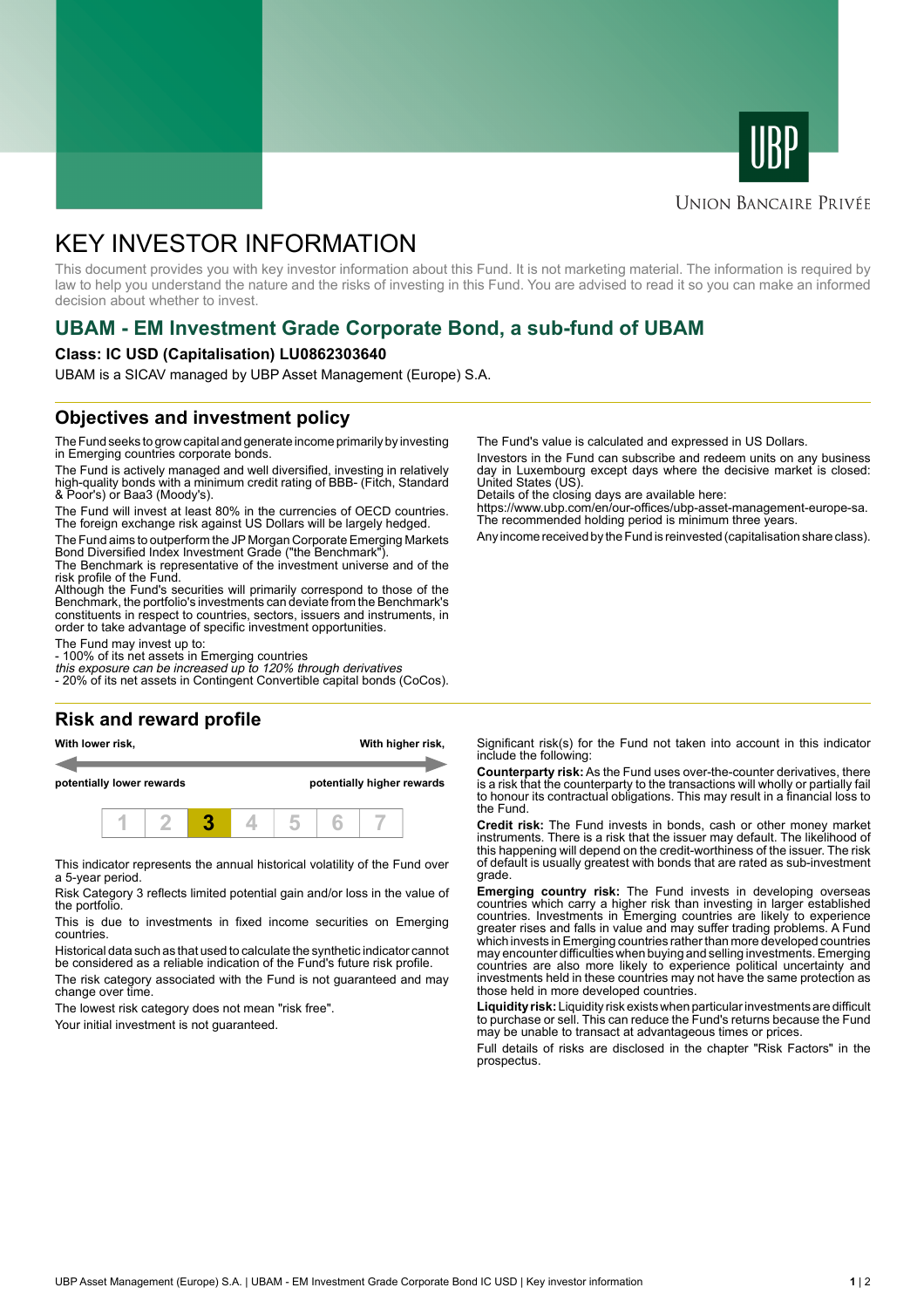



### **UNION BANCAIRE PRIVÉE**

# KEY INVESTOR INFORMATION

This document provides you with key investor information about this Fund. It is not marketing material. The information is required by law to help you understand the nature and the risks of investing in this Fund. You are advised to read it so you can make an informed decision about whether to invest.

# **UBAM - EM Investment Grade Corporate Bond, a sub-fund of UBAM**

#### **Class: IC USD (Capitalisation) LU0862303640**

UBAM is a SICAV managed by UBP Asset Management (Europe) S.A.

### **Objectives and investment policy**

The Fund seeks to grow capital and generate income primarily by investing in Emerging countries corporate bonds.

The Fund is actively managed and well diversified, investing in relatively high-quality bonds with a minimum credit rating of BBB- (Fitch, Standard & Poor's) or Baa3 (Moody's).

The Fund will invest at least 80% in the currencies of OECD countries. The foreign exchange risk against US Dollars will be largely hedged.

The Fund aims to outperform the JP Morgan Corporate Emerging Markets Bond Diversified Index Investment Grade ("the Benchmark").

The Benchmark is representative of the investment universe and of the risk profile of the Fund.

Although the Fund's securities will primarily correspond to those of the Benchmark, the portfolio's investments can deviate from the Benchmark's constituents in respect to countries, sectors, issuers and instruments, in order to take advantage of specific investment opportunities.

The Fund may invest up to:

- 100% of its net assets in Emerging countries

this exposure can be increased up to 120% through derivatives - 20% of its net assets in Contingent Convertible capital bonds (CoCos).

#### **Risk and reward profile**

**With lower risk, With higher risk,**

**potentially lower rewards potentially higher rewards**



This indicator represents the annual historical volatility of the Fund over a 5-year period.

Risk Category 3 reflects limited potential gain and/or loss in the value of the portfolio.

This is due to investments in fixed income securities on Emerging countries.

Historical data such as that used to calculate the synthetic indicator cannot be considered as a reliable indication of the Fund's future risk profile.

The risk category associated with the Fund is not guaranteed and may change over time.

The lowest risk category does not mean "risk free".

Your initial investment is not guaranteed.

The Fund's value is calculated and expressed in US Dollars.

Investors in the Fund can subscribe and redeem units on any business day in Luxembourg except days where the decisive market is closed: United States (US).

Details of the closing days are available here:

https://www.ubp.com/en/our-offices/ubp-asset-management-europe-sa. The recommended holding period is minimum three years.

Any income received by the Fund is reinvested (capitalisation share class).

Significant risk(s) for the Fund not taken into account in this indicator include the following:

**Counterparty risk:** As the Fund uses over-the-counter derivatives, there is a risk that the counterparty to the transactions will wholly or partially fail to honour its contractual obligations. This may result in a financial loss to the Fund.

**Credit risk:** The Fund invests in bonds, cash or other money market instruments. There is a risk that the issuer may default. The likelihood of this happening will depend on the credit-worthiness of the issuer. The risk of default is usually greatest with bonds that are rated as sub-investment grade.

**Emerging country risk:** The Fund invests in developing overseas countries which carry a higher risk than investing in larger established countries. Investments in Emerging countries are likely to experience greater rises and falls in value and may suffer trading problems. A Fund which invests in Emerging countries rather than more developed countries may encounter difficulties when buying and selling investments. Emerging countries are also more likely to experience political uncertainty and investments held in these countries may not have the same protection as those held in more developed countries.

**Liquidity risk:** Liquidity risk exists when particular investments are difficult to purchase or sell. This can reduce the Fund's returns because the Fund may be unable to transact at advantageous times or prices.

Full details of risks are disclosed in the chapter "Risk Factors" in the prospectus.